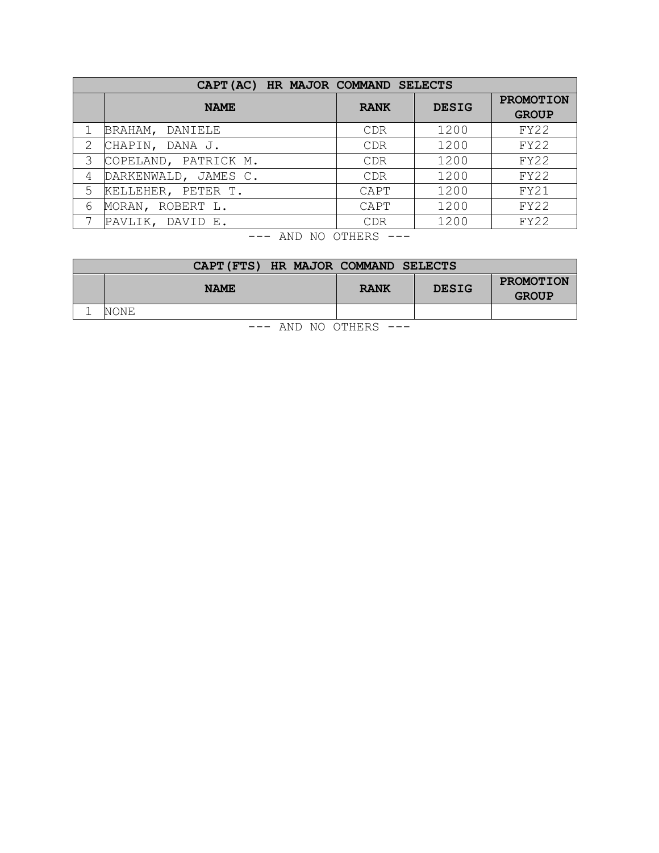|               | CAPT (AC) HR MAJOR COMMAND SELECTS |             |              |                                  |
|---------------|------------------------------------|-------------|--------------|----------------------------------|
|               | <b>NAME</b>                        | <b>RANK</b> | <b>DESIG</b> | <b>PROMOTION</b><br><b>GROUP</b> |
|               | BRAHAM, DANIELE                    | CDR         | 1200         | FY22                             |
| $\mathcal{L}$ | CHAPIN, DANA J.                    | <b>CDR</b>  | 1200         | FY22                             |
| 3             | COPELAND, PATRICK M.               | <b>CDR</b>  | 1200         | FY22                             |
| 4             | DARKENWALD, JAMES C.               | CDR         | 1200         | FY22                             |
| 5             | KELLEHER, PETER T.                 | CAPT        | 1200         | FY21                             |
| 6             | MORAN, ROBERT L.                   | CAPT        | 1200         | FY22                             |
|               | PAVLIK, DAVID E.                   | <b>CDR</b>  | 1200         | FY22                             |
|               |                                    |             |              |                                  |

--- AND NO OTHERS ---

|  |      | CAPT (FTS) HR MAJOR COMMAND SELECTS |  |             |              |                           |
|--|------|-------------------------------------|--|-------------|--------------|---------------------------|
|  |      | <b>NAME</b>                         |  | <b>RANK</b> | <b>DESIG</b> | PROMOTION<br><b>GROUP</b> |
|  | NONE |                                     |  |             |              |                           |
|  |      |                                     |  |             |              |                           |

--- AND NO OTHERS ---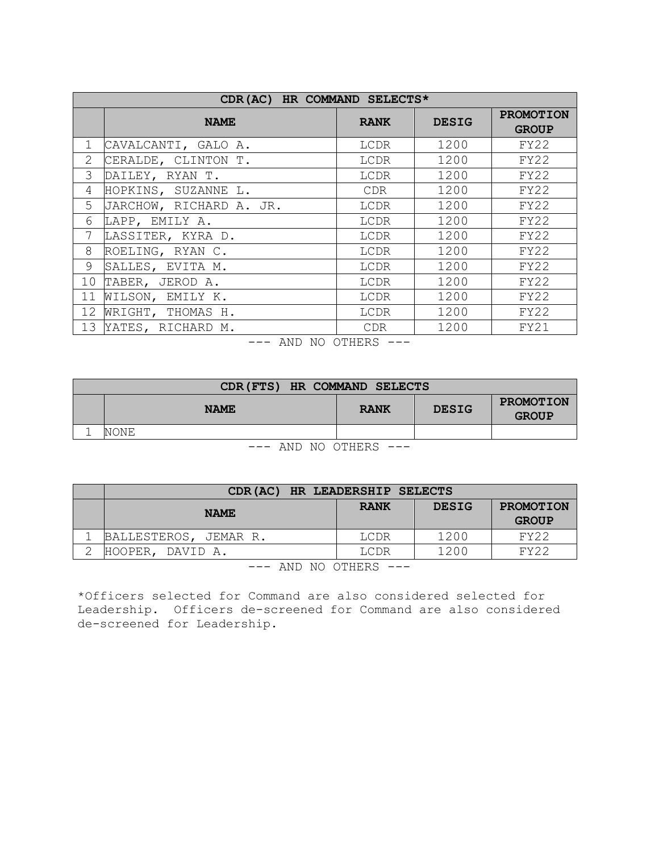|                 | CDR (AC) HR COMMAND SELECTS* |             |              |                                  |  |  |
|-----------------|------------------------------|-------------|--------------|----------------------------------|--|--|
|                 | <b>NAME</b>                  | <b>RANK</b> | <b>DESIG</b> | <b>PROMOTION</b><br><b>GROUP</b> |  |  |
| $\mathbf{1}$    | CAVALCANTI, GALO A.          | LCDR        | 1200         | FY22                             |  |  |
| 2               | CERALDE, CLINTON T.          | LCDR        | 1200         | FY22                             |  |  |
| $\mathcal{S}$   | DAILEY, RYAN T.              | LCDR        | 1200         | FY22                             |  |  |
| 4               | HOPKINS, SUZANNE L.          | <b>CDR</b>  | 1200         | FY22                             |  |  |
| 5               | JARCHOW, RICHARD A. JR.      | LCDR        | 1200         | FY22                             |  |  |
| 6               | LAPP, EMILY A.               | LCDR        | 1200         | FY22                             |  |  |
| 7               | LASSITER, KYRA D.            | LCDR        | 1200         | FY22                             |  |  |
| 8               | ROELING, RYAN C.             | LCDR        | 1200         | FY22                             |  |  |
| 9               | SALLES, EVITA M.             | LCDR        | 1200         | FY22                             |  |  |
| 10 <sup>°</sup> | TABER, JEROD A.              | LCDR        | 1200         | FY22                             |  |  |
| 11              | WILSON, EMILY K.             | LCDR        | 1200         | FY22                             |  |  |
| 12 <sup>°</sup> | WRIGHT, THOMAS H.            | LCDR        | 1200         | FY22                             |  |  |
|                 | 13 YATES, RICHARD M.         | CDR.        | 1200         | FY21                             |  |  |

--- AND NO OTHERS ---

|                      | CDR (FTS) HR COMMAND SELECTS |             |              |                           |  |  |
|----------------------|------------------------------|-------------|--------------|---------------------------|--|--|
|                      | <b>NAME</b>                  | <b>RANK</b> | <b>DESIG</b> | PROMOTION<br><b>GROUP</b> |  |  |
|                      | NONE                         |             |              |                           |  |  |
| $-125$ $-272$ $-272$ |                              |             |              |                           |  |  |

--- AND NO OTHERS ---

|                           | CDR(AC) HR LEADERSHIP SELECTS |             |              |                                  |
|---------------------------|-------------------------------|-------------|--------------|----------------------------------|
|                           | <b>NAME</b>                   | <b>RANK</b> | <b>DESIG</b> | <b>PROMOTION</b><br><b>GROUP</b> |
|                           | BALLESTEROS, JEMAR R.         | LCDR        | 1200         | <b>FY22</b>                      |
|                           | HOOPER, DAVID A.              | LCDR        | 1200         | FY22                             |
| $---$ AND NO OTHERS $---$ |                               |             |              |                                  |

\*Officers selected for Command are also considered selected for Leadership. Officers de-screened for Command are also considered de-screened for Leadership.